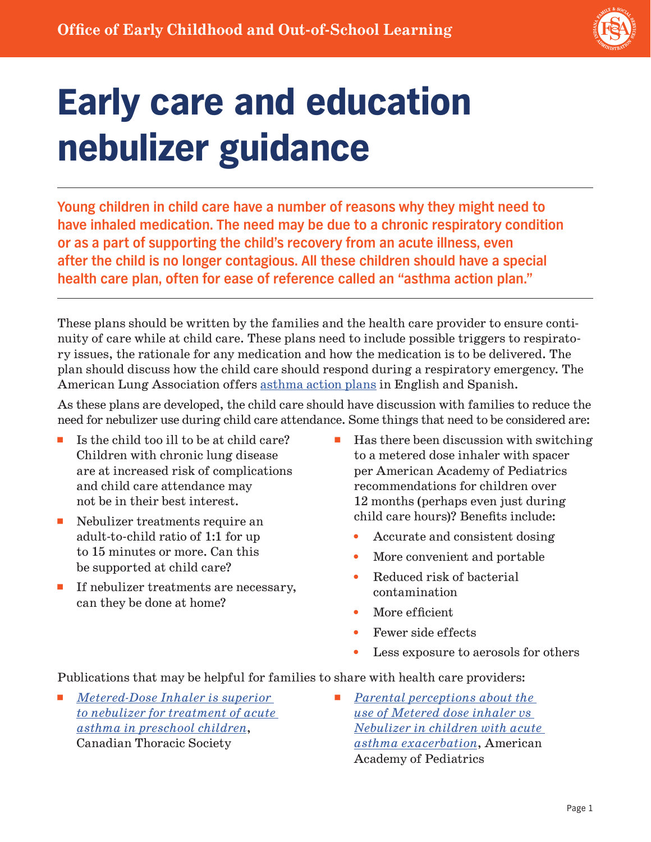

## Early care and education nebulizer guidance

**Young children in child care have a number of reasons why they might need to have inhaled medication. The need may be due to a chronic respiratory condition or as a part of supporting the child's recovery from an acute illness, even after the child is no longer contagious. All these children should have a special health care plan, often for ease of reference called an "asthma action plan."**

These plans should be written by the families and the health care provider to ensure continuity of care while at child care. These plans need to include possible triggers to respiratory issues, the rationale for any medication and how the medication is to be delivered. The plan should discuss how the child care should respond during a respiratory emergency. The American Lung Association offers [asthma action plans](https://www.lung.org/lung-health-diseases/lung-disease-lookup/asthma/living-with-asthma/managing-asthma/create-an-asthma-action-plan) in English and Spanish.

As these plans are developed, the child care should have discussion with families to reduce the need for nebulizer use during child care attendance. Some things that need to be considered are:

- $\blacksquare$  Is the child too ill to be at child care? Children with chronic lung disease are at increased risk of complications and child care attendance may not be in their best interest.
- Nebulizer treatments require an adult-to-child ratio of 1:1 for up to 15 minutes or more. Can this be supported at child care?
- If nebulizer treatments are necessary, can they be done at home?
- $\blacksquare$  Has there been discussion with switching to a metered dose inhaler with spacer per American Academy of Pediatrics recommendations for children over 12 months (perhaps even just during child care hours)? Benefits include:
	- Accurate and consistent dosing
	- More convenient and portable
	- Reduced risk of bacterial contamination
	- More efficient
	- Fewer side effects
	- Less exposure to aerosols for others

Publications that may be helpful for families to share with health care providers:

- *Metered-Dose Inhaler is superior [to nebulizer for treatment of acute](https://cts-sct.ca/wp-content/uploads/2018/07/2018-03-15-Ronly-Har-Even.pdf)  [asthma in preschool children](https://cts-sct.ca/wp-content/uploads/2018/07/2018-03-15-Ronly-Har-Even.pdf)*, Canadian Thoracic Society
- ◾ *[Parental perceptions about the](https://publications.aap.org/pediatrics/article/142/1_MeetingAbstract/582/2944/Parental-perceptions-about-the-use-of-Metered-dose)  [use of Metered dose inhaler vs](https://publications.aap.org/pediatrics/article/142/1_MeetingAbstract/582/2944/Parental-perceptions-about-the-use-of-Metered-dose)  [Nebulizer in children with acute](https://publications.aap.org/pediatrics/article/142/1_MeetingAbstract/582/2944/Parental-perceptions-about-the-use-of-Metered-dose)  [asthma exacerbation](https://publications.aap.org/pediatrics/article/142/1_MeetingAbstract/582/2944/Parental-perceptions-about-the-use-of-Metered-dose)*, American Academy of Pediatrics